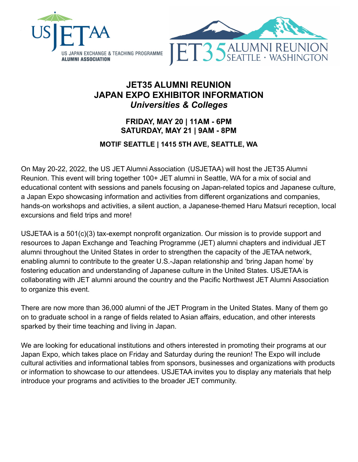

# **JET35 ALUMNI REUNION JAPAN EXPO EXHIBITOR INFORMATION** *Universities & Colleges*

# **FRIDAY, MAY 20 | 11AM - 6PM SATURDAY, MAY 21 | 9AM - 8PM**

## **MOTIF SEATTLE | 1415 5TH AVE, SEATTLE, WA**

On May 20-22, 2022, the US JET Alumni Association (USJETAA) will host the JET35 Alumni Reunion. This event will bring together 100+ JET alumni in Seattle, WA for a mix of social and educational content with sessions and panels focusing on Japan-related topics and Japanese culture, a Japan Expo showcasing information and activities from different organizations and companies, hands-on workshops and activities, a silent auction, a Japanese-themed Haru Matsuri reception, local excursions and field trips and more!

USJETAA is a 501(c)(3) tax-exempt nonprofit organization. Our mission is to provide support and resources to Japan Exchange and Teaching Programme (JET) alumni chapters and individual JET alumni throughout the United States in order to strengthen the capacity of the JETAA network, enabling alumni to contribute to the greater U.S.-Japan relationship and 'bring Japan home' by fostering education and understanding of Japanese culture in the United States. USJETAA is collaborating with JET alumni around the country and the Pacific Northwest JET Alumni Association to organize this event.

There are now more than 36,000 alumni of the JET Program in the United States. Many of them go on to graduate school in a range of fields related to Asian affairs, education, and other interests sparked by their time teaching and living in Japan.

We are looking for educational institutions and others interested in promoting their programs at our Japan Expo, which takes place on Friday and Saturday during the reunion! The Expo will include cultural activities and informational tables from sponsors, businesses and organizations with products or information to showcase to our attendees. USJETAA invites you to display any materials that help introduce your programs and activities to the broader JET community.